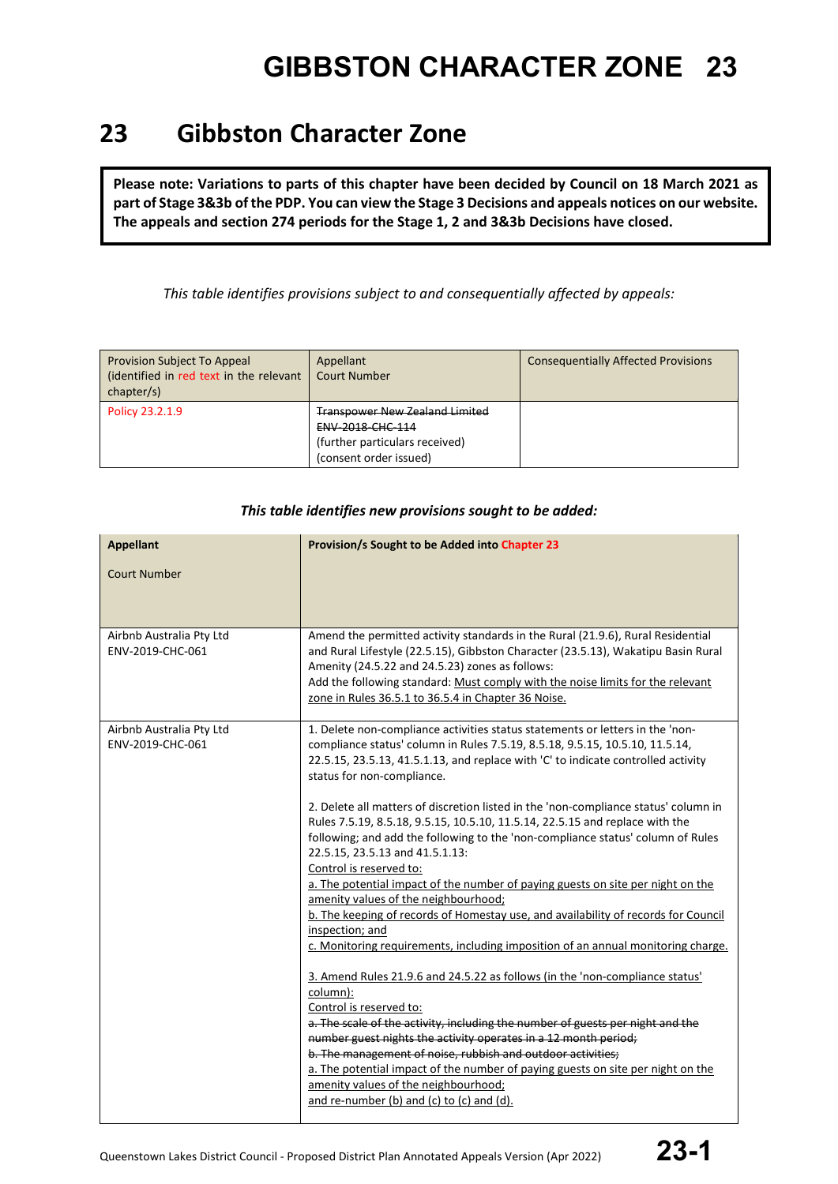### **23 Gibbston Character Zone**

**Please note: Variations to parts of this chapter have been decided by Council on 18 March 2021 as part of Stage 3&3b of the PDP. You can view the Stage 3 Decisions and appeals notices on our website. The appeals and section 274 periods for the Stage 1, 2 and 3&3b Decisions have closed.**

*This table identifies provisions subject to and consequentially affected by appeals:*

| Provision Subject To Appeal<br>(identified in red text in the relevant<br>chapter/s) | Appellant<br><b>Court Number</b>                                                                                      | <b>Consequentially Affected Provisions</b> |
|--------------------------------------------------------------------------------------|-----------------------------------------------------------------------------------------------------------------------|--------------------------------------------|
| Policy 23.2.1.9                                                                      | <b>Transpower New Zealand Limited</b><br>ENV-2018-CHC-114<br>(further particulars received)<br>(consent order issued) |                                            |

| <b>Appellant</b><br>Court Number<br>Airbnb Australia Pty Ltd<br>ENV-2019-CHC-061 | Provision/s Sought to be Added into Chapter 23<br>Amend the permitted activity standards in the Rural (21.9.6), Rural Residential<br>and Rural Lifestyle (22.5.15), Gibbston Character (23.5.13), Wakatipu Basin Rural<br>Amenity (24.5.22 and 24.5.23) zones as follows:<br>Add the following standard: Must comply with the noise limits for the relevant<br>zone in Rules 36.5.1 to 36.5.4 in Chapter 36 Noise.                                                                                                                                                                                                                                                                                                                                                                                                                                                                                                                                                                                                                                                                                                                                                                                                                                                                                                                                                                                                                                  |
|----------------------------------------------------------------------------------|-----------------------------------------------------------------------------------------------------------------------------------------------------------------------------------------------------------------------------------------------------------------------------------------------------------------------------------------------------------------------------------------------------------------------------------------------------------------------------------------------------------------------------------------------------------------------------------------------------------------------------------------------------------------------------------------------------------------------------------------------------------------------------------------------------------------------------------------------------------------------------------------------------------------------------------------------------------------------------------------------------------------------------------------------------------------------------------------------------------------------------------------------------------------------------------------------------------------------------------------------------------------------------------------------------------------------------------------------------------------------------------------------------------------------------------------------------|
| Airbnb Australia Pty Ltd<br>ENV-2019-CHC-061                                     | 1. Delete non-compliance activities status statements or letters in the 'non-<br>compliance status' column in Rules 7.5.19, 8.5.18, 9.5.15, 10.5.10, 11.5.14,<br>22.5.15, 23.5.13, 41.5.1.13, and replace with 'C' to indicate controlled activity<br>status for non-compliance.<br>2. Delete all matters of discretion listed in the 'non-compliance status' column in<br>Rules 7.5.19, 8.5.18, 9.5.15, 10.5.10, 11.5.14, 22.5.15 and replace with the<br>following; and add the following to the 'non-compliance status' column of Rules<br>22.5.15, 23.5.13 and 41.5.1.13:<br>Control is reserved to:<br>a. The potential impact of the number of paying guests on site per night on the<br>amenity values of the neighbourhood;<br>b. The keeping of records of Homestay use, and availability of records for Council<br>inspection; and<br>c. Monitoring requirements, including imposition of an annual monitoring charge.<br>3. Amend Rules 21.9.6 and 24.5.22 as follows (in the 'non-compliance status'<br>column):<br>Control is reserved to:<br>a. The scale of the activity, including the number of guests per night and the<br>number guest nights the activity operates in a 12 month period;<br>b. The management of noise, rubbish and outdoor activities;<br>a. The potential impact of the number of paying guests on site per night on the<br>amenity values of the neighbourhood;<br>and re-number (b) and (c) to (c) and (d). |

#### *This table identifies new provisions sought to be added:*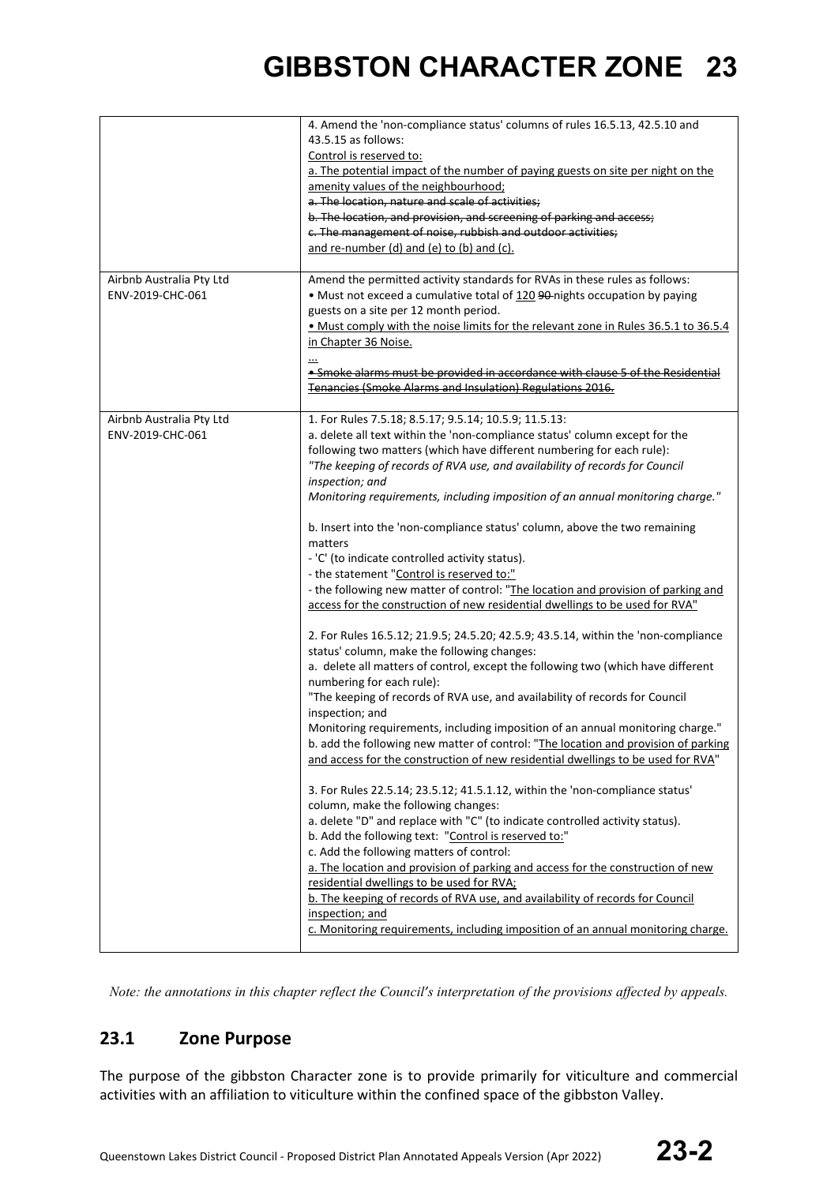| Airbnb Australia Pty Ltd                     | 4. Amend the 'non-compliance status' columns of rules 16.5.13, 42.5.10 and<br>43.5.15 as follows:<br>Control is reserved to:<br>a. The potential impact of the number of paying guests on site per night on the<br>amenity values of the neighbourhood;<br>a. The location, nature and scale of activities;<br>b. The location, and provision, and screening of parking and access;<br>c. The management of noise, rubbish and outdoor activities;<br>and re-number (d) and (e) to (b) and (c).<br>Amend the permitted activity standards for RVAs in these rules as follows:                                                                                                                                                                                                                                                                                                                                                                                                                                                                                                                                                                                                                                                                                                                                                                                                                                                                                                                                                                                                                                                                                                                                                                                                                                                                                                                                                                                                                                          |
|----------------------------------------------|------------------------------------------------------------------------------------------------------------------------------------------------------------------------------------------------------------------------------------------------------------------------------------------------------------------------------------------------------------------------------------------------------------------------------------------------------------------------------------------------------------------------------------------------------------------------------------------------------------------------------------------------------------------------------------------------------------------------------------------------------------------------------------------------------------------------------------------------------------------------------------------------------------------------------------------------------------------------------------------------------------------------------------------------------------------------------------------------------------------------------------------------------------------------------------------------------------------------------------------------------------------------------------------------------------------------------------------------------------------------------------------------------------------------------------------------------------------------------------------------------------------------------------------------------------------------------------------------------------------------------------------------------------------------------------------------------------------------------------------------------------------------------------------------------------------------------------------------------------------------------------------------------------------------------------------------------------------------------------------------------------------------|
| ENV-2019-CHC-061                             | • Must not exceed a cumulative total of 120 90 nights occupation by paying<br>guests on a site per 12 month period.<br>. Must comply with the noise limits for the relevant zone in Rules 36.5.1 to 36.5.4<br>in Chapter 36 Noise.<br>$\cdot$<br>• Smoke alarms must be provided in accordance with clause 5 of the Residential<br>Tenancies (Smoke Alarms and Insulation) Regulations 2016.                                                                                                                                                                                                                                                                                                                                                                                                                                                                                                                                                                                                                                                                                                                                                                                                                                                                                                                                                                                                                                                                                                                                                                                                                                                                                                                                                                                                                                                                                                                                                                                                                           |
| Airbnb Australia Pty Ltd<br>ENV-2019-CHC-061 | 1. For Rules 7.5.18; 8.5.17; 9.5.14; 10.5.9; 11.5.13:<br>a. delete all text within the 'non-compliance status' column except for the<br>following two matters (which have different numbering for each rule):<br>"The keeping of records of RVA use, and availability of records for Council<br>inspection; and<br>Monitoring requirements, including imposition of an annual monitoring charge."<br>b. Insert into the 'non-compliance status' column, above the two remaining<br>matters<br>- 'C' (to indicate controlled activity status).<br>- the statement "Control is reserved to:"<br>- the following new matter of control: "The location and provision of parking and<br>access for the construction of new residential dwellings to be used for RVA"<br>2. For Rules 16.5.12; 21.9.5; 24.5.20; 42.5.9; 43.5.14, within the 'non-compliance<br>status' column, make the following changes:<br>a. delete all matters of control, except the following two (which have different<br>numbering for each rule):<br>"The keeping of records of RVA use, and availability of records for Council<br>inspection; and<br>Monitoring requirements, including imposition of an annual monitoring charge."<br>b. add the following new matter of control: "The location and provision of parking<br>and access for the construction of new residential dwellings to be used for RVA"<br>3. For Rules 22.5.14; 23.5.12; 41.5.1.12, within the 'non-compliance status'<br>column, make the following changes:<br>a. delete "D" and replace with "C" (to indicate controlled activity status).<br>b. Add the following text: "Control is reserved to:"<br>c. Add the following matters of control:<br>a. The location and provision of parking and access for the construction of new<br>residential dwellings to be used for RVA;<br>b. The keeping of records of RVA use, and availability of records for Council<br>inspection; and<br>c. Monitoring requirements, including imposition of an annual monitoring charge. |

*Note: the annotations in this chapter reflect the Council's interpretation of the provisions affected by appeals.*

### **23.1 Zone Purpose**

The purpose of the gibbston Character zone is to provide primarily for viticulture and commercial activities with an affiliation to viticulture within the confined space of the gibbston Valley.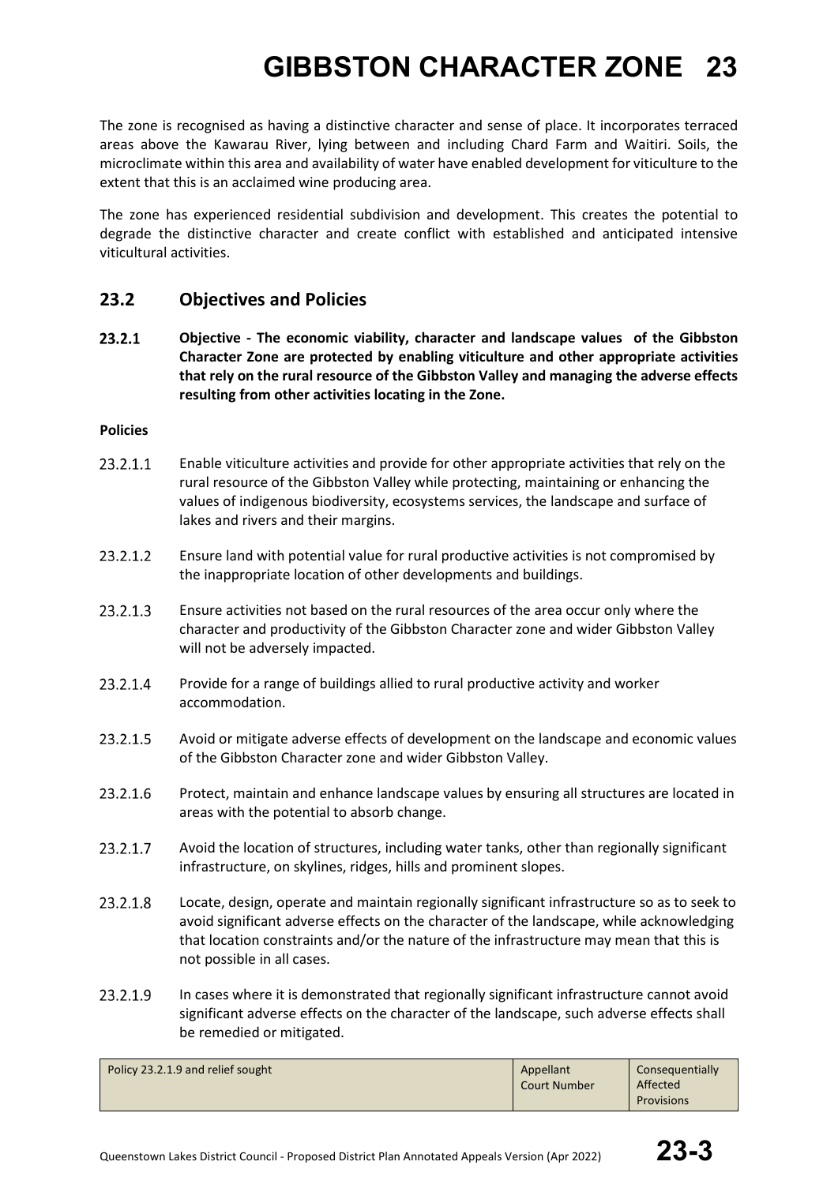The zone is recognised as having a distinctive character and sense of place. It incorporates terraced areas above the Kawarau River, lying between and including Chard Farm and Waitiri. Soils, the microclimate within this area and availability of water have enabled development for viticulture to the extent that this is an acclaimed wine producing area.

The zone has experienced residential subdivision and development. This creates the potential to degrade the distinctive character and create conflict with established and anticipated intensive viticultural activities.

### **23.2 Objectives and Policies**

23.2.1 **Objective - The economic viability, character and landscape values of the Gibbston Character Zone are protected by enabling viticulture and other appropriate activities that rely on the rural resource of the Gibbston Valley and managing the adverse effects resulting from other activities locating in the Zone.**

#### **Policies**

- 23.2.1.1 Enable viticulture activities and provide for other appropriate activities that rely on the rural resource of the Gibbston Valley while protecting, maintaining or enhancing the values of indigenous biodiversity, ecosystems services, the landscape and surface of lakes and rivers and their margins.
- 23.2.1.2 Ensure land with potential value for rural productive activities is not compromised by the inappropriate location of other developments and buildings.
- $23.2.1.3$ Ensure activities not based on the rural resources of the area occur only where the character and productivity of the Gibbston Character zone and wider Gibbston Valley will not be adversely impacted.
- 23.2.1.4 Provide for a range of buildings allied to rural productive activity and worker accommodation.
- 23.2.1.5 Avoid or mitigate adverse effects of development on the landscape and economic values of the Gibbston Character zone and wider Gibbston Valley.
- 23.2.1.6 Protect, maintain and enhance landscape values by ensuring all structures are located in areas with the potential to absorb change.
- 23.2.1.7 Avoid the location of structures, including water tanks, other than regionally significant infrastructure, on skylines, ridges, hills and prominent slopes.
- 23.2.1.8 Locate, design, operate and maintain regionally significant infrastructure so as to seek to avoid significant adverse effects on the character of the landscape, while acknowledging that location constraints and/or the nature of the infrastructure may mean that this is not possible in all cases.
- 23.2.1.9 In cases where it is demonstrated that regionally significant infrastructure cannot avoid significant adverse effects on the character of the landscape, such adverse effects shall be remedied or mitigated.

| Policy 23.2.1.9 and relief sought | Appellant<br><b>Court Number</b> | Consequentially<br>Affected |
|-----------------------------------|----------------------------------|-----------------------------|
|                                   |                                  | <b>Provisions</b>           |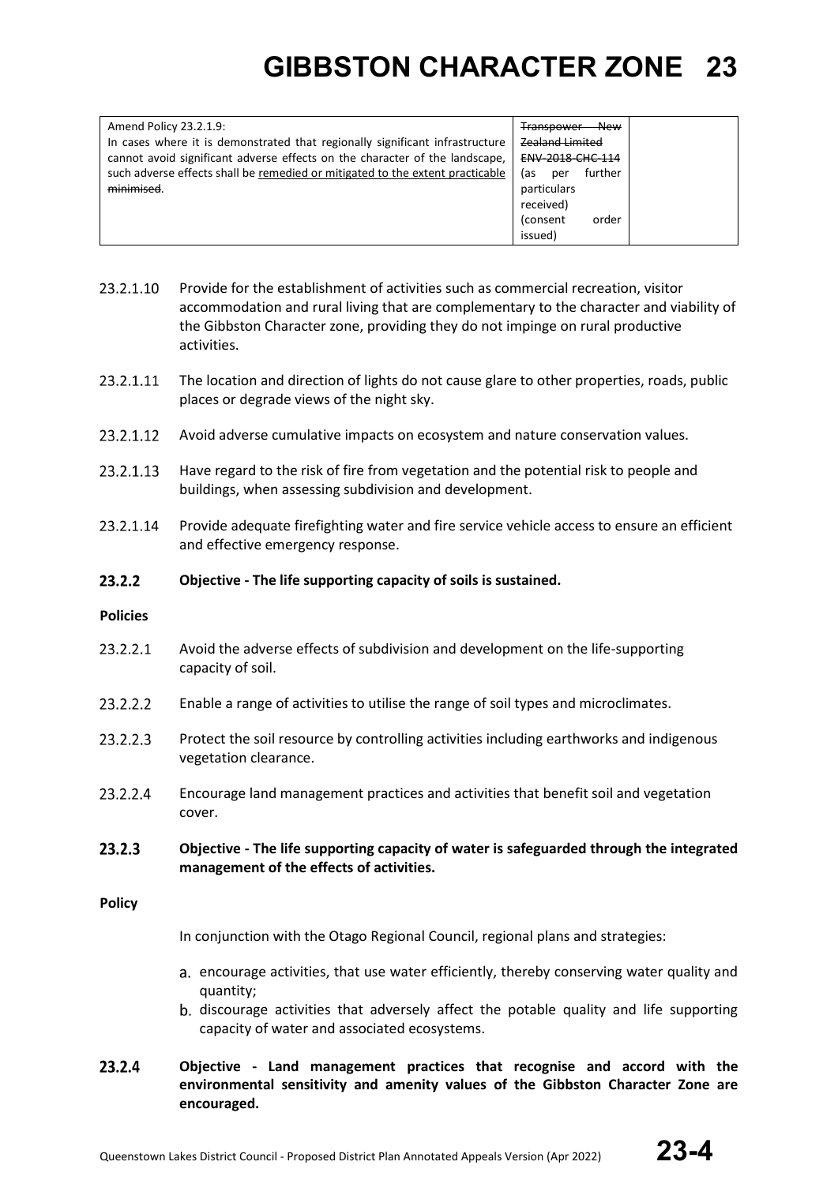| Amend Policy 23.2.1.9:                                                        | <b>New</b><br><b>Transpower</b> |
|-------------------------------------------------------------------------------|---------------------------------|
| In cases where it is demonstrated that regionally significant infrastructure  | <b>Zealand Limited</b>          |
| cannot avoid significant adverse effects on the character of the landscape,   | <b>ENV-2018-CHC-114</b>         |
| such adverse effects shall be remedied or mitigated to the extent practicable | further<br>las.<br>per          |
| minimised.                                                                    | particulars                     |
|                                                                               | received)                       |
|                                                                               | order<br>(consent               |
|                                                                               | issued)                         |
|                                                                               |                                 |

- 23.2.1.10 Provide for the establishment of activities such as commercial recreation, visitor accommodation and rural living that are complementary to the character and viability of the Gibbston Character zone, providing they do not impinge on rural productive activities.
- 23.2.1.11 The location and direction of lights do not cause glare to other properties, roads, public places or degrade views of the night sky.
- 23.2.1.12 Avoid adverse cumulative impacts on ecosystem and nature conservation values.
- 23.2.1.13 Have regard to the risk of fire from vegetation and the potential risk to people and buildings, when assessing subdivision and development.
- 23.2.1.14 Provide adequate firefighting water and fire service vehicle access to ensure an efficient and effective emergency response.
- $23.2.2$ **Objective - The life supporting capacity of soils is sustained.**

#### **Policies**

- 23.2.2.1 Avoid the adverse effects of subdivision and development on the life-supporting capacity of soil.
- 23.2.2.2 Enable a range of activities to utilise the range of soil types and microclimates.
- 23.2.2.3 Protect the soil resource by controlling activities including earthworks and indigenous vegetation clearance.
- 23.2.2.4 Encourage land management practices and activities that benefit soil and vegetation cover.
- $23.2.3$ **Objective - The life supporting capacity of water is safeguarded through the integrated management of the effects of activities.**

#### **Policy**

In conjunction with the Otago Regional Council, regional plans and strategies:

- encourage activities, that use water efficiently, thereby conserving water quality and quantity;
- discourage activities that adversely affect the potable quality and life supporting capacity of water and associated ecosystems.
- 23.2.4 **Objective - Land management practices that recognise and accord with the environmental sensitivity and amenity values of the Gibbston Character Zone are encouraged.**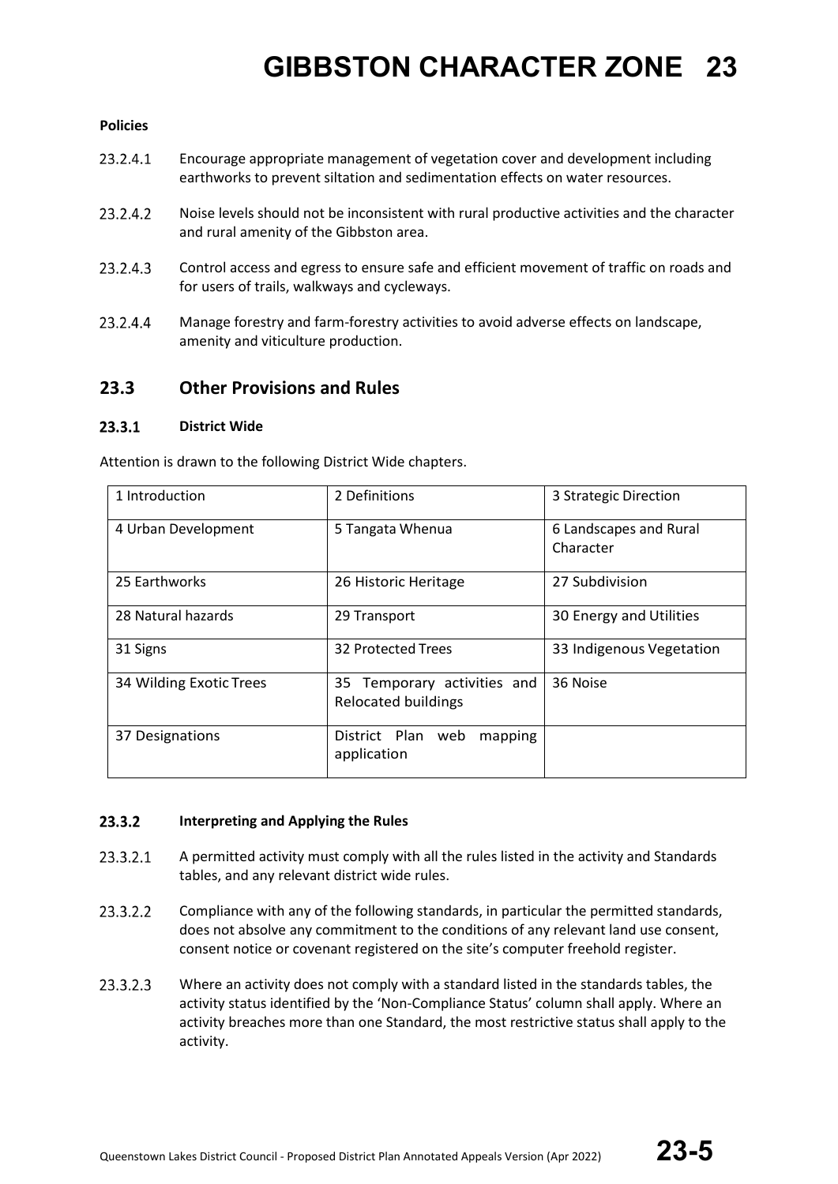#### **Policies**

- 23.2.4.1 Encourage appropriate management of vegetation cover and development including earthworks to prevent siltation and sedimentation effects on water resources.
- 23.2.4.2 Noise levels should not be inconsistent with rural productive activities and the character and rural amenity of the Gibbston area.
- 23.2.4.3 Control access and egress to ensure safe and efficient movement of traffic on roads and for users of trails, walkways and cycleways.
- 23.2.4.4 Manage forestry and farm-forestry activities to avoid adverse effects on landscape, amenity and viticulture production.

### **23.3 Other Provisions and Rules**

#### 23.3.1 **District Wide**

Attention is drawn to the following District Wide chapters.

| 1 Introduction          | 2 Definitions                                      | 3 Strategic Direction               |
|-------------------------|----------------------------------------------------|-------------------------------------|
| 4 Urban Development     | 5 Tangata Whenua                                   | 6 Landscapes and Rural<br>Character |
| 25 Earthworks           | 26 Historic Heritage                               | 27 Subdivision                      |
| 28 Natural hazards      | 29 Transport                                       | 30 Energy and Utilities             |
| 31 Signs                | 32 Protected Trees                                 | 33 Indigenous Vegetation            |
| 34 Wilding Exotic Trees | 35 Temporary activities and<br>Relocated buildings | 36 Noise                            |
| 37 Designations         | District Plan<br>web<br>mapping<br>application     |                                     |

#### $23.3.2$ **Interpreting and Applying the Rules**

- 23.3.2.1 A permitted activity must comply with all the rules listed in the activity and Standards tables, and any relevant district wide rules.
- 23.3.2.2 Compliance with any of the following standards, in particular the permitted standards, does not absolve any commitment to the conditions of any relevant land use consent, consent notice or covenant registered on the site's computer freehold register.
- 23.3.2.3 Where an activity does not comply with a standard listed in the standards tables, the activity status identified by the 'Non-Compliance Status' column shall apply. Where an activity breaches more than one Standard, the most restrictive status shall apply to the activity.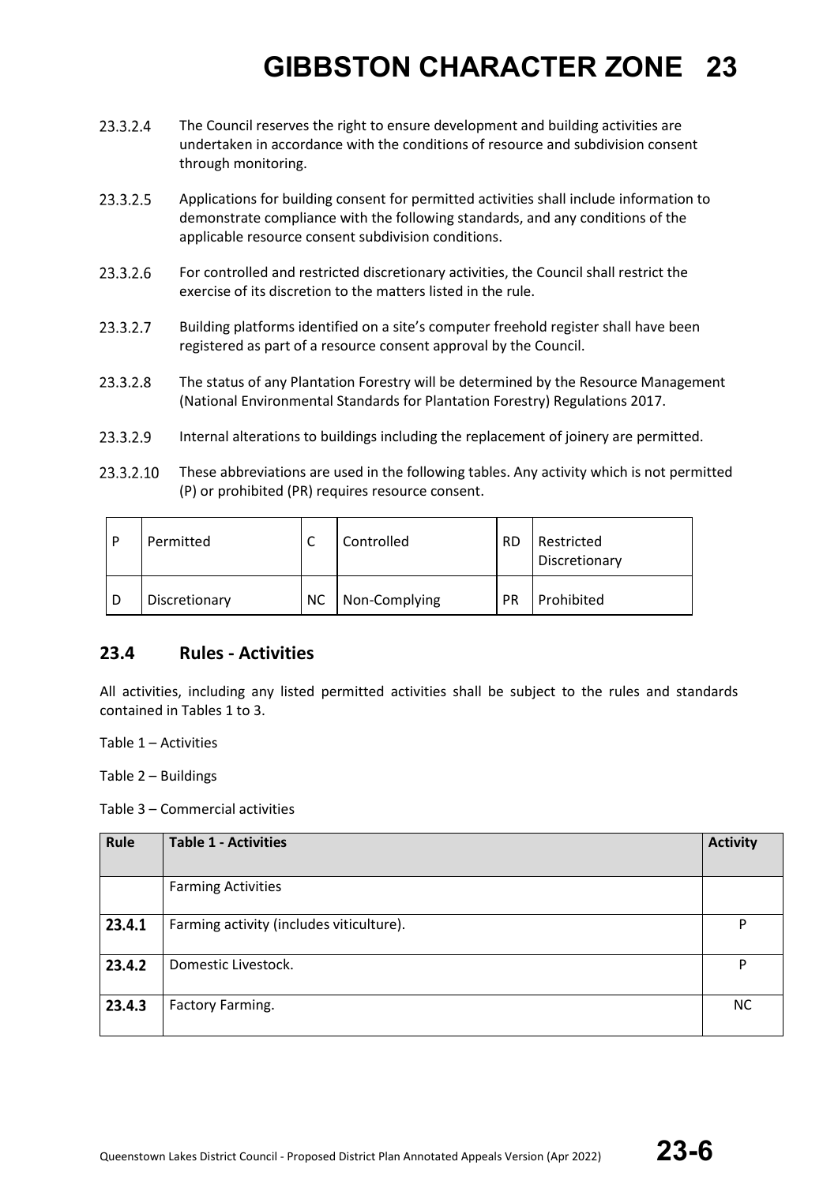- 23.3.2.4 The Council reserves the right to ensure development and building activities are undertaken in accordance with the conditions of resource and subdivision consent through monitoring.
- 23.3.2.5 Applications for building consent for permitted activities shall include information to demonstrate compliance with the following standards, and any conditions of the applicable resource consent subdivision conditions.
- 23.3.2.6 For controlled and restricted discretionary activities, the Council shall restrict the exercise of its discretion to the matters listed in the rule.
- 23.3.2.7 Building platforms identified on a site's computer freehold register shall have been registered as part of a resource consent approval by the Council.
- 23.3.2.8 The status of any Plantation Forestry will be determined by the Resource Management (National Environmental Standards for Plantation Forestry) Regulations 2017.
- 23.3.2.9 Internal alterations to buildings including the replacement of joinery are permitted.
- 23.3.2.10 These abbreviations are used in the following tables. Any activity which is not permitted (P) or prohibited (PR) requires resource consent.

| D | Permitted     | ◡         | Controlled    | <b>RD</b> | Restricted<br>Discretionary |
|---|---------------|-----------|---------------|-----------|-----------------------------|
| D | Discretionary | <b>NC</b> | Non-Complying | <b>PR</b> | Prohibited                  |

### **23.4 Rules - Activities**

All activities, including any listed permitted activities shall be subject to the rules and standards contained in Tables 1 to 3.

Table 1 – Activities

Table 2 – Buildings

Table 3 – Commercial activities

| Rule   | <b>Table 1 - Activities</b>              | <b>Activity</b> |
|--------|------------------------------------------|-----------------|
|        | <b>Farming Activities</b>                |                 |
| 23.4.1 | Farming activity (includes viticulture). | P               |
| 23.4.2 | Domestic Livestock.                      | P               |
| 23.4.3 | Factory Farming.                         | <b>NC</b>       |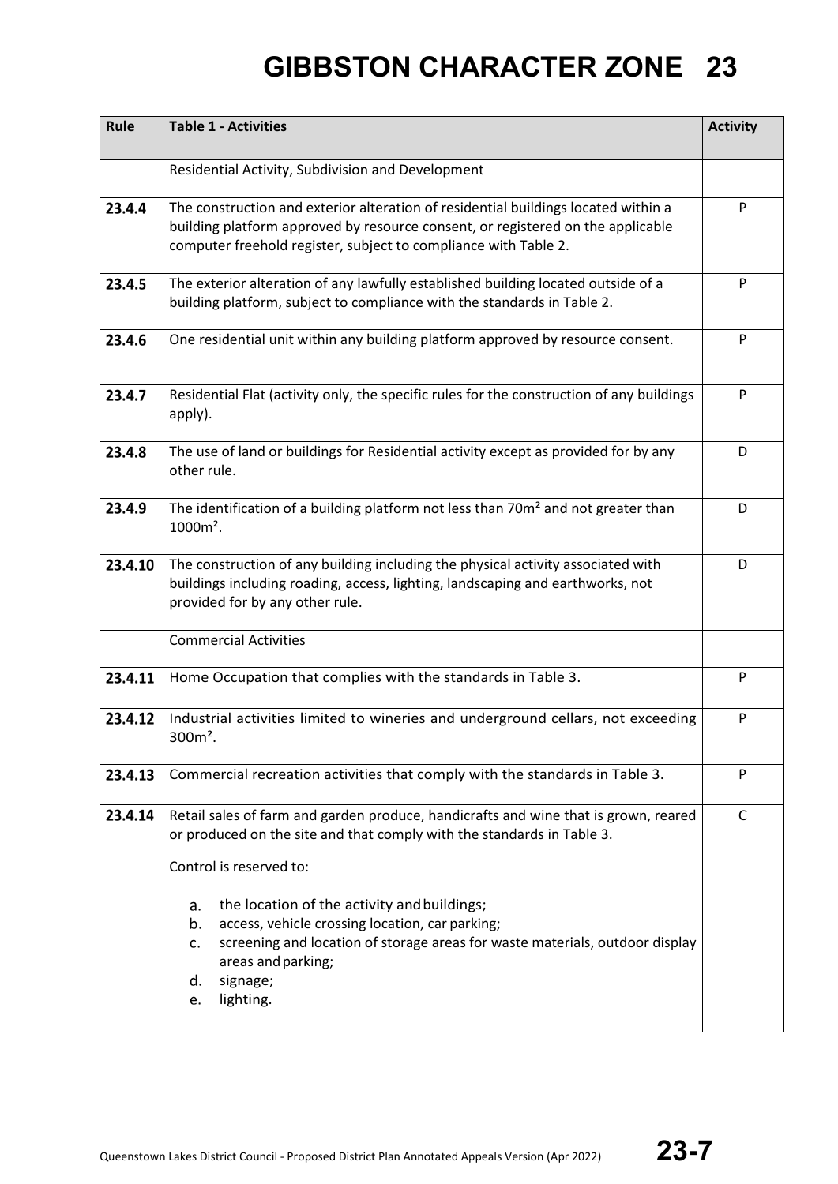| Rule    | <b>Table 1 - Activities</b>                                                                                                                                                                                                                                 |   |  |
|---------|-------------------------------------------------------------------------------------------------------------------------------------------------------------------------------------------------------------------------------------------------------------|---|--|
|         | Residential Activity, Subdivision and Development                                                                                                                                                                                                           |   |  |
| 23.4.4  | The construction and exterior alteration of residential buildings located within a<br>building platform approved by resource consent, or registered on the applicable<br>computer freehold register, subject to compliance with Table 2.                    |   |  |
| 23.4.5  | The exterior alteration of any lawfully established building located outside of a<br>building platform, subject to compliance with the standards in Table 2.                                                                                                | P |  |
| 23.4.6  | One residential unit within any building platform approved by resource consent.                                                                                                                                                                             | P |  |
| 23.4.7  | Residential Flat (activity only, the specific rules for the construction of any buildings<br>apply).                                                                                                                                                        | P |  |
| 23.4.8  | The use of land or buildings for Residential activity except as provided for by any<br>other rule.                                                                                                                                                          | D |  |
| 23.4.9  | The identification of a building platform not less than 70m <sup>2</sup> and not greater than<br>1000m <sup>2</sup> .                                                                                                                                       | D |  |
| 23.4.10 | The construction of any building including the physical activity associated with<br>buildings including roading, access, lighting, landscaping and earthworks, not<br>provided for by any other rule.                                                       |   |  |
|         | <b>Commercial Activities</b>                                                                                                                                                                                                                                |   |  |
| 23.4.11 | Home Occupation that complies with the standards in Table 3.                                                                                                                                                                                                |   |  |
| 23.4.12 | Industrial activities limited to wineries and underground cellars, not exceeding<br>$300m2$ .                                                                                                                                                               |   |  |
| 23.4.13 | Commercial recreation activities that comply with the standards in Table 3.                                                                                                                                                                                 | P |  |
| 23.4.14 | Retail sales of farm and garden produce, handicrafts and wine that is grown, reared<br>or produced on the site and that comply with the standards in Table 3.<br>Control is reserved to:                                                                    | C |  |
|         | the location of the activity and buildings;<br>a.<br>access, vehicle crossing location, car parking;<br>b.<br>screening and location of storage areas for waste materials, outdoor display<br>c.<br>areas and parking;<br>signage;<br>d.<br>lighting.<br>e. |   |  |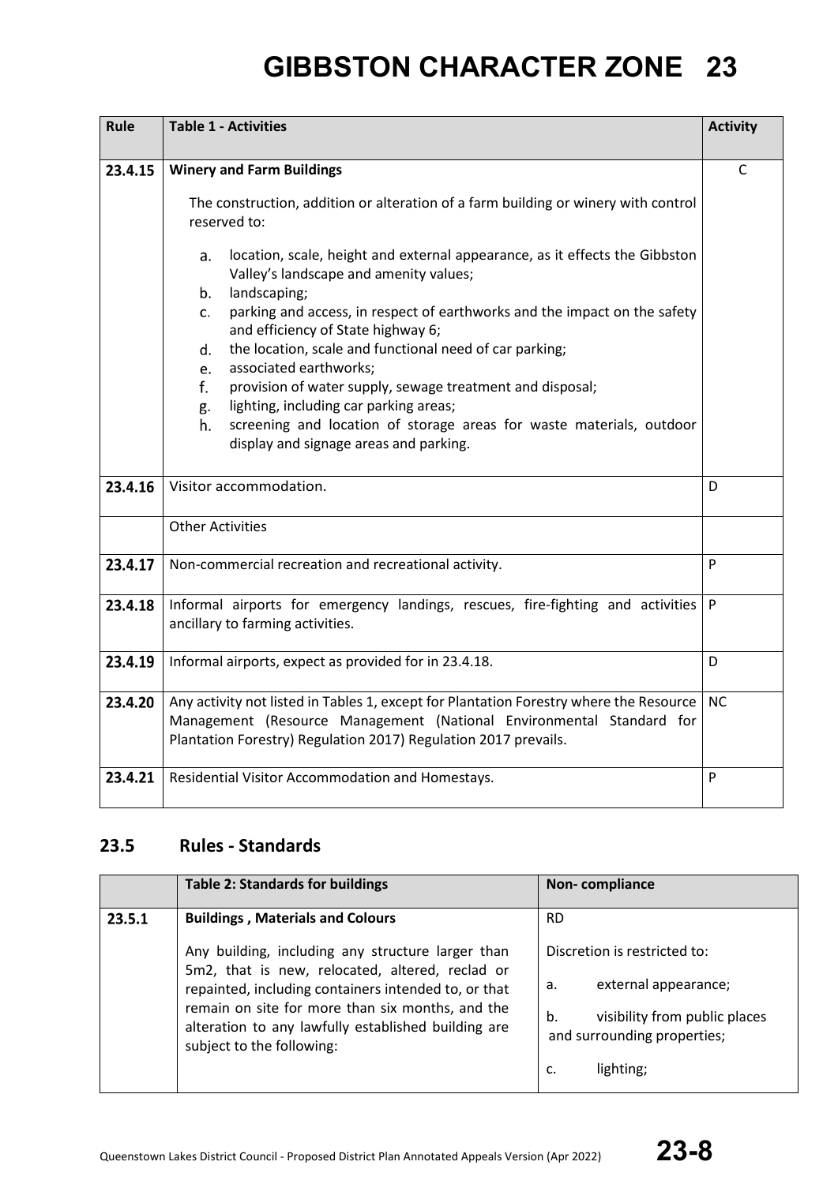| Rule    | <b>Table 1 - Activities</b>                                                                                                                 |           |  |
|---------|---------------------------------------------------------------------------------------------------------------------------------------------|-----------|--|
|         |                                                                                                                                             |           |  |
| 23.4.15 | <b>Winery and Farm Buildings</b>                                                                                                            |           |  |
|         | The construction, addition or alteration of a farm building or winery with control<br>reserved to:                                          |           |  |
|         | location, scale, height and external appearance, as it effects the Gibbston<br>a.<br>Valley's landscape and amenity values;                 |           |  |
|         | landscaping;<br>b.<br>parking and access, in respect of earthworks and the impact on the safety<br>C.<br>and efficiency of State highway 6; |           |  |
|         | the location, scale and functional need of car parking;<br>d.<br>associated earthworks;<br>e.                                               |           |  |
|         | provision of water supply, sewage treatment and disposal;<br>f.<br>lighting, including car parking areas;<br>g.                             |           |  |
|         | screening and location of storage areas for waste materials, outdoor<br>h.<br>display and signage areas and parking.                        |           |  |
| 23.4.16 | Visitor accommodation.                                                                                                                      | D         |  |
|         | <b>Other Activities</b>                                                                                                                     |           |  |
| 23.4.17 | Non-commercial recreation and recreational activity.                                                                                        | P         |  |
| 23.4.18 | Informal airports for emergency landings, rescues, fire-fighting and activities<br>ancillary to farming activities.                         |           |  |
| 23.4.19 | Informal airports, expect as provided for in 23.4.18.                                                                                       |           |  |
| 23.4.20 | Any activity not listed in Tables 1, except for Plantation Forestry where the Resource                                                      | <b>NC</b> |  |
|         | Management (Resource Management (National Environmental Standard for                                                                        |           |  |
|         | Plantation Forestry) Regulation 2017) Regulation 2017 prevails.                                                                             |           |  |
| 23.4.21 | Residential Visitor Accommodation and Homestays.                                                                                            |           |  |

### **23.5 Rules - Standards**

|        | <b>Table 2: Standards for buildings</b>                                                                                              | Non-compliance                                                     |
|--------|--------------------------------------------------------------------------------------------------------------------------------------|--------------------------------------------------------------------|
| 23.5.1 | <b>Buildings, Materials and Colours</b>                                                                                              | <b>RD</b>                                                          |
|        | Any building, including any structure larger than<br>5m2, that is new, relocated, altered, reclad or                                 | Discretion is restricted to:                                       |
|        | repainted, including containers intended to, or that                                                                                 | external appearance;<br>a.                                         |
|        | remain on site for more than six months, and the<br>alteration to any lawfully established building are<br>subject to the following: | b.<br>visibility from public places<br>and surrounding properties; |
|        |                                                                                                                                      | lighting;<br>c.                                                    |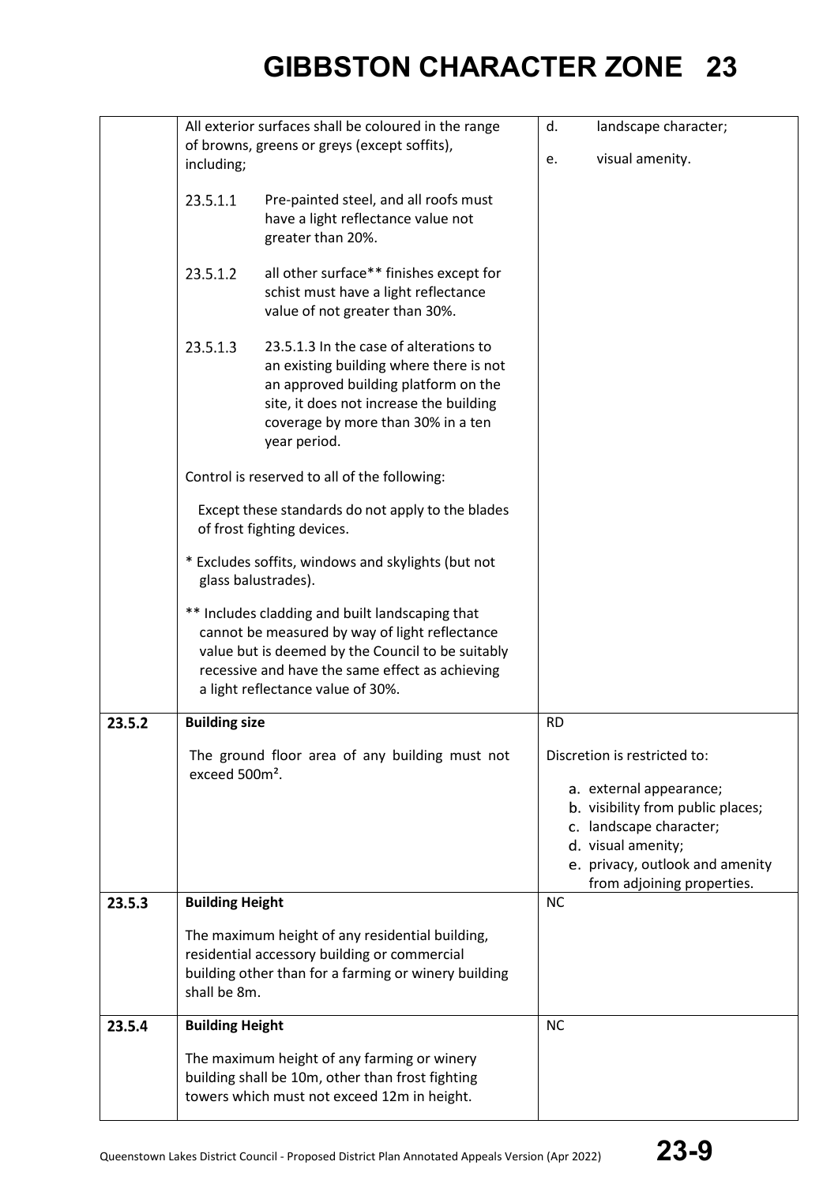|        | All exterior surfaces shall be coloured in the range                      |                                                                                                                                                                                                                                                | landscape character;<br>d. |                                                                                                                                                                                                                |  |
|--------|---------------------------------------------------------------------------|------------------------------------------------------------------------------------------------------------------------------------------------------------------------------------------------------------------------------------------------|----------------------------|----------------------------------------------------------------------------------------------------------------------------------------------------------------------------------------------------------------|--|
|        |                                                                           | of browns, greens or greys (except soffits),                                                                                                                                                                                                   |                            |                                                                                                                                                                                                                |  |
|        | including;                                                                |                                                                                                                                                                                                                                                | e.                         | visual amenity.                                                                                                                                                                                                |  |
|        | 23.5.1.1                                                                  | Pre-painted steel, and all roofs must<br>have a light reflectance value not<br>greater than 20%.                                                                                                                                               |                            |                                                                                                                                                                                                                |  |
|        | 23.5.1.2                                                                  | all other surface** finishes except for<br>schist must have a light reflectance<br>value of not greater than 30%.                                                                                                                              |                            |                                                                                                                                                                                                                |  |
|        | 23.5.1.3                                                                  | 23.5.1.3 In the case of alterations to<br>an existing building where there is not<br>an approved building platform on the<br>site, it does not increase the building<br>coverage by more than 30% in a ten<br>year period.                     |                            |                                                                                                                                                                                                                |  |
|        |                                                                           | Control is reserved to all of the following:                                                                                                                                                                                                   |                            |                                                                                                                                                                                                                |  |
|        |                                                                           | Except these standards do not apply to the blades<br>of frost fighting devices.                                                                                                                                                                |                            |                                                                                                                                                                                                                |  |
|        | * Excludes soffits, windows and skylights (but not<br>glass balustrades). |                                                                                                                                                                                                                                                |                            |                                                                                                                                                                                                                |  |
|        |                                                                           | ** Includes cladding and built landscaping that<br>cannot be measured by way of light reflectance<br>value but is deemed by the Council to be suitably<br>recessive and have the same effect as achieving<br>a light reflectance value of 30%. |                            |                                                                                                                                                                                                                |  |
| 23.5.2 | <b>Building size</b>                                                      |                                                                                                                                                                                                                                                | <b>RD</b>                  |                                                                                                                                                                                                                |  |
|        | exceed 500m <sup>2</sup> .                                                | The ground floor area of any building must not                                                                                                                                                                                                 |                            | Discretion is restricted to:<br>a. external appearance;<br>b. visibility from public places;<br>c. landscape character;<br>d. visual amenity;<br>e. privacy, outlook and amenity<br>from adjoining properties. |  |
| 23.5.3 | <b>Building Height</b>                                                    |                                                                                                                                                                                                                                                | <b>NC</b>                  |                                                                                                                                                                                                                |  |
|        | shall be 8m.                                                              | The maximum height of any residential building,<br>residential accessory building or commercial<br>building other than for a farming or winery building                                                                                        |                            |                                                                                                                                                                                                                |  |
| 23.5.4 | <b>Building Height</b>                                                    |                                                                                                                                                                                                                                                | <b>NC</b>                  |                                                                                                                                                                                                                |  |
|        |                                                                           | The maximum height of any farming or winery<br>building shall be 10m, other than frost fighting<br>towers which must not exceed 12m in height.                                                                                                 |                            |                                                                                                                                                                                                                |  |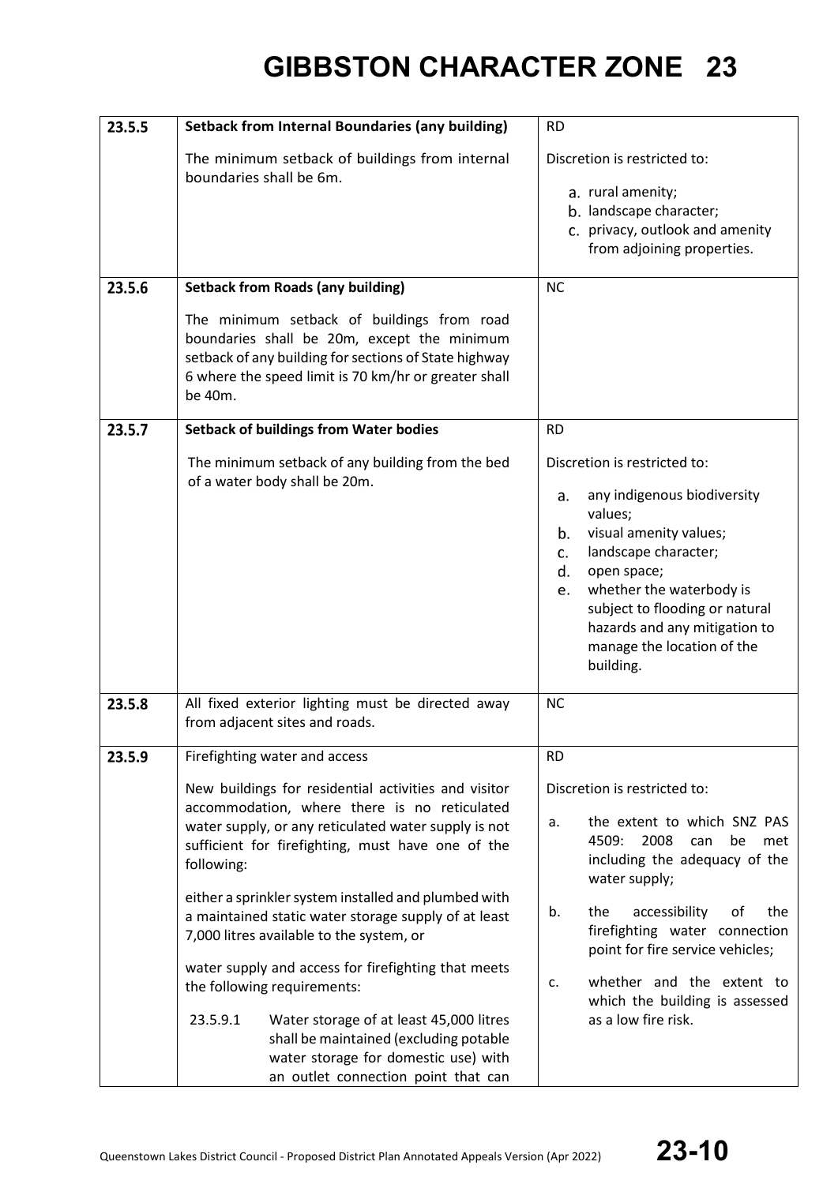| 23.5.5 | <b>Setback from Internal Boundaries (any building)</b>                                                                                                                                                                                                                                                                                                                                                                                                                                                                                                                                                                     | <b>RD</b>                                                                                                                                                                                                                                                                                                                                                            |
|--------|----------------------------------------------------------------------------------------------------------------------------------------------------------------------------------------------------------------------------------------------------------------------------------------------------------------------------------------------------------------------------------------------------------------------------------------------------------------------------------------------------------------------------------------------------------------------------------------------------------------------------|----------------------------------------------------------------------------------------------------------------------------------------------------------------------------------------------------------------------------------------------------------------------------------------------------------------------------------------------------------------------|
|        | The minimum setback of buildings from internal<br>boundaries shall be 6m.                                                                                                                                                                                                                                                                                                                                                                                                                                                                                                                                                  | Discretion is restricted to:<br>a. rural amenity;<br>b. landscape character;<br>c. privacy, outlook and amenity<br>from adjoining properties.                                                                                                                                                                                                                        |
| 23.5.6 | <b>Setback from Roads (any building)</b>                                                                                                                                                                                                                                                                                                                                                                                                                                                                                                                                                                                   | <b>NC</b>                                                                                                                                                                                                                                                                                                                                                            |
|        | The minimum setback of buildings from road<br>boundaries shall be 20m, except the minimum<br>setback of any building for sections of State highway<br>6 where the speed limit is 70 km/hr or greater shall<br>be 40m.                                                                                                                                                                                                                                                                                                                                                                                                      |                                                                                                                                                                                                                                                                                                                                                                      |
| 23.5.7 | <b>Setback of buildings from Water bodies</b>                                                                                                                                                                                                                                                                                                                                                                                                                                                                                                                                                                              | <b>RD</b>                                                                                                                                                                                                                                                                                                                                                            |
| 23.5.8 | The minimum setback of any building from the bed<br>of a water body shall be 20m.<br>All fixed exterior lighting must be directed away                                                                                                                                                                                                                                                                                                                                                                                                                                                                                     | Discretion is restricted to:<br>any indigenous biodiversity<br>a.<br>values;<br>visual amenity values;<br>b.<br>landscape character;<br>C.<br>open space;<br>d.<br>whether the waterbody is<br>e.<br>subject to flooding or natural<br>hazards and any mitigation to<br>manage the location of the<br>building.<br><b>NC</b>                                         |
|        | from adjacent sites and roads.                                                                                                                                                                                                                                                                                                                                                                                                                                                                                                                                                                                             |                                                                                                                                                                                                                                                                                                                                                                      |
| 23.5.9 | Firefighting water and access                                                                                                                                                                                                                                                                                                                                                                                                                                                                                                                                                                                              | <b>RD</b>                                                                                                                                                                                                                                                                                                                                                            |
|        | New buildings for residential activities and visitor<br>accommodation, where there is no reticulated<br>water supply, or any reticulated water supply is not<br>sufficient for firefighting, must have one of the<br>following:<br>either a sprinkler system installed and plumbed with<br>a maintained static water storage supply of at least<br>7,000 litres available to the system, or<br>water supply and access for firefighting that meets<br>the following requirements:<br>23.5.9.1<br>Water storage of at least 45,000 litres<br>shall be maintained (excluding potable<br>water storage for domestic use) with | Discretion is restricted to:<br>the extent to which SNZ PAS<br>a.<br>4509:<br>2008<br>met<br>can<br>be<br>including the adequacy of the<br>water supply;<br>accessibility<br>the<br>the<br>of<br>b.<br>firefighting water connection<br>point for fire service vehicles;<br>whether and the extent to<br>c.<br>which the building is assessed<br>as a low fire risk. |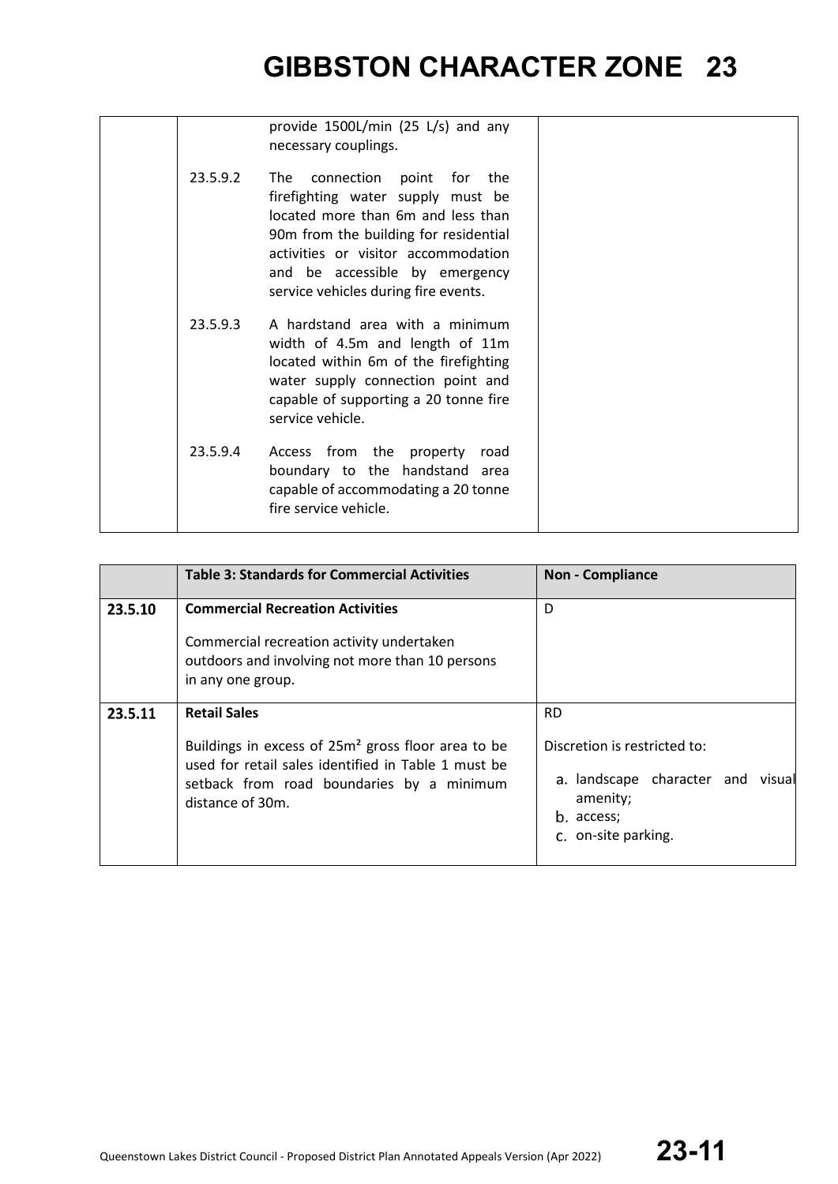|          | provide 1500L/min (25 L/s) and any<br>necessary couplings.                                                                                                                                                                                                           |  |
|----------|----------------------------------------------------------------------------------------------------------------------------------------------------------------------------------------------------------------------------------------------------------------------|--|
| 23.5.9.2 | connection point for the<br>The<br>firefighting water supply must be<br>located more than 6m and less than<br>90m from the building for residential<br>activities or visitor accommodation<br>and be accessible by emergency<br>service vehicles during fire events. |  |
| 23.5.9.3 | A hardstand area with a minimum<br>width of 4.5m and length of 11m<br>located within 6m of the firefighting<br>water supply connection point and<br>capable of supporting a 20 tonne fire<br>service vehicle.                                                        |  |
| 23.5.9.4 | Access from the property road<br>boundary to the handstand area<br>capable of accommodating a 20 tonne<br>fire service vehicle.                                                                                                                                      |  |

|         | <b>Table 3: Standards for Commercial Activities</b>                                                                                                                                                           | <b>Non - Compliance</b>                                                                                                         |
|---------|---------------------------------------------------------------------------------------------------------------------------------------------------------------------------------------------------------------|---------------------------------------------------------------------------------------------------------------------------------|
| 23.5.10 | <b>Commercial Recreation Activities</b><br>Commercial recreation activity undertaken<br>outdoors and involving not more than 10 persons<br>in any one group.                                                  | D                                                                                                                               |
| 23.5.11 | <b>Retail Sales</b><br>Buildings in excess of 25m <sup>2</sup> gross floor area to be<br>used for retail sales identified in Table 1 must be<br>setback from road boundaries by a minimum<br>distance of 30m. | <b>RD</b><br>Discretion is restricted to:<br>a. landscape character and visual<br>amenity;<br>b. access;<br>c. on-site parking. |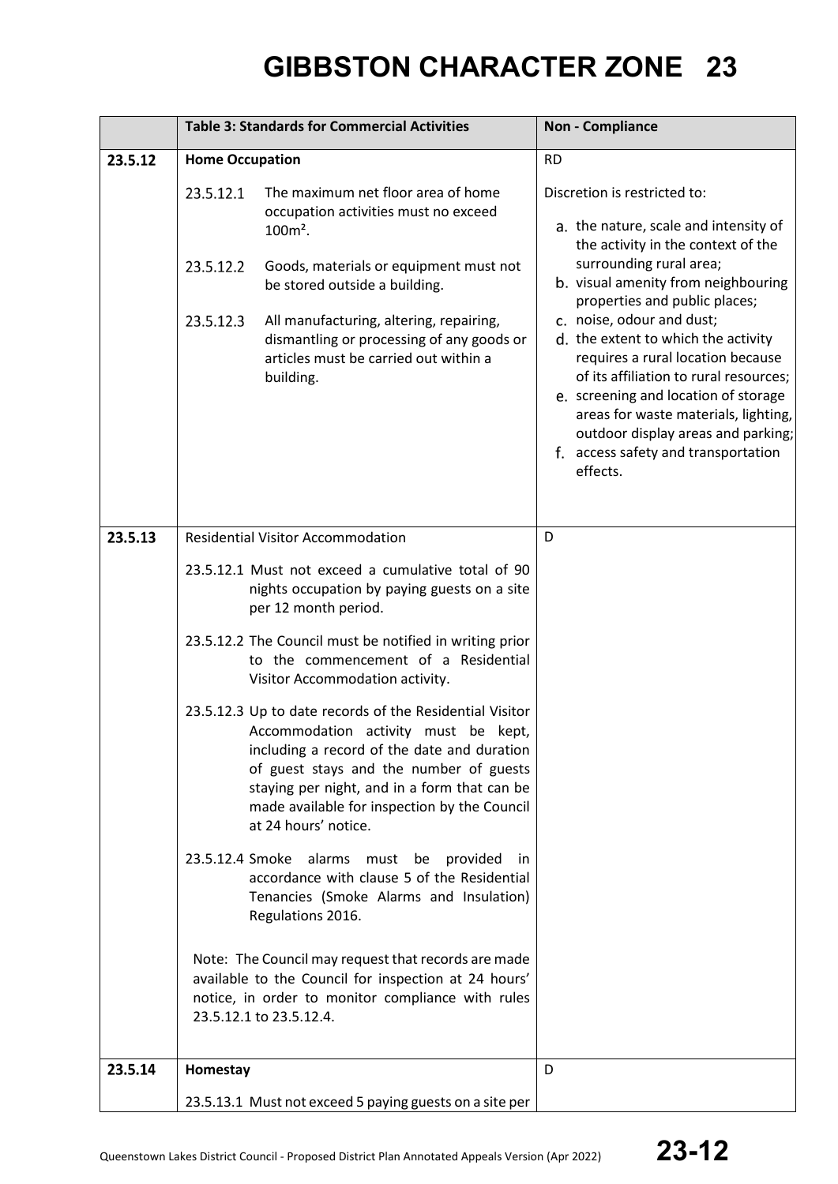|         | <b>Table 3: Standards for Commercial Activities</b>                                                                                                                                                                                                                                                                                                      | <b>Non - Compliance</b>                                                                                                                                                                                                                                                                                                                                                                                                                                                                                                                    |
|---------|----------------------------------------------------------------------------------------------------------------------------------------------------------------------------------------------------------------------------------------------------------------------------------------------------------------------------------------------------------|--------------------------------------------------------------------------------------------------------------------------------------------------------------------------------------------------------------------------------------------------------------------------------------------------------------------------------------------------------------------------------------------------------------------------------------------------------------------------------------------------------------------------------------------|
| 23.5.12 | <b>Home Occupation</b>                                                                                                                                                                                                                                                                                                                                   | <b>RD</b>                                                                                                                                                                                                                                                                                                                                                                                                                                                                                                                                  |
|         | The maximum net floor area of home<br>23.5.12.1<br>occupation activities must no exceed<br>$100m^2$ .<br>23.5.12.2<br>Goods, materials or equipment must not<br>be stored outside a building.<br>23.5.12.3<br>All manufacturing, altering, repairing,<br>dismantling or processing of any goods or<br>articles must be carried out within a<br>building. | Discretion is restricted to:<br>a. the nature, scale and intensity of<br>the activity in the context of the<br>surrounding rural area;<br>b. visual amenity from neighbouring<br>properties and public places;<br>c. noise, odour and dust;<br>d. the extent to which the activity<br>requires a rural location because<br>of its affiliation to rural resources;<br>e. screening and location of storage<br>areas for waste materials, lighting,<br>outdoor display areas and parking;<br>f. access safety and transportation<br>effects. |
| 23.5.13 | <b>Residential Visitor Accommodation</b>                                                                                                                                                                                                                                                                                                                 | D                                                                                                                                                                                                                                                                                                                                                                                                                                                                                                                                          |
|         | 23.5.12.1 Must not exceed a cumulative total of 90<br>nights occupation by paying guests on a site<br>per 12 month period.<br>23.5.12.2 The Council must be notified in writing prior                                                                                                                                                                    |                                                                                                                                                                                                                                                                                                                                                                                                                                                                                                                                            |
|         | to the commencement of a Residential<br>Visitor Accommodation activity.                                                                                                                                                                                                                                                                                  |                                                                                                                                                                                                                                                                                                                                                                                                                                                                                                                                            |
|         | 23.5.12.3 Up to date records of the Residential Visitor<br>Accommodation activity must be kept,<br>including a record of the date and duration<br>of guest stays and the number of guests<br>staying per night, and in a form that can be<br>made available for inspection by the Council<br>at 24 hours' notice.                                        |                                                                                                                                                                                                                                                                                                                                                                                                                                                                                                                                            |
|         | 23.5.12.4 Smoke alarms must be provided in<br>accordance with clause 5 of the Residential<br>Tenancies (Smoke Alarms and Insulation)<br>Regulations 2016.                                                                                                                                                                                                |                                                                                                                                                                                                                                                                                                                                                                                                                                                                                                                                            |
|         | Note: The Council may request that records are made<br>available to the Council for inspection at 24 hours'<br>notice, in order to monitor compliance with rules<br>23.5.12.1 to 23.5.12.4.                                                                                                                                                              |                                                                                                                                                                                                                                                                                                                                                                                                                                                                                                                                            |
| 23.5.14 | Homestay                                                                                                                                                                                                                                                                                                                                                 | D                                                                                                                                                                                                                                                                                                                                                                                                                                                                                                                                          |
|         | 23.5.13.1 Must not exceed 5 paying guests on a site per                                                                                                                                                                                                                                                                                                  |                                                                                                                                                                                                                                                                                                                                                                                                                                                                                                                                            |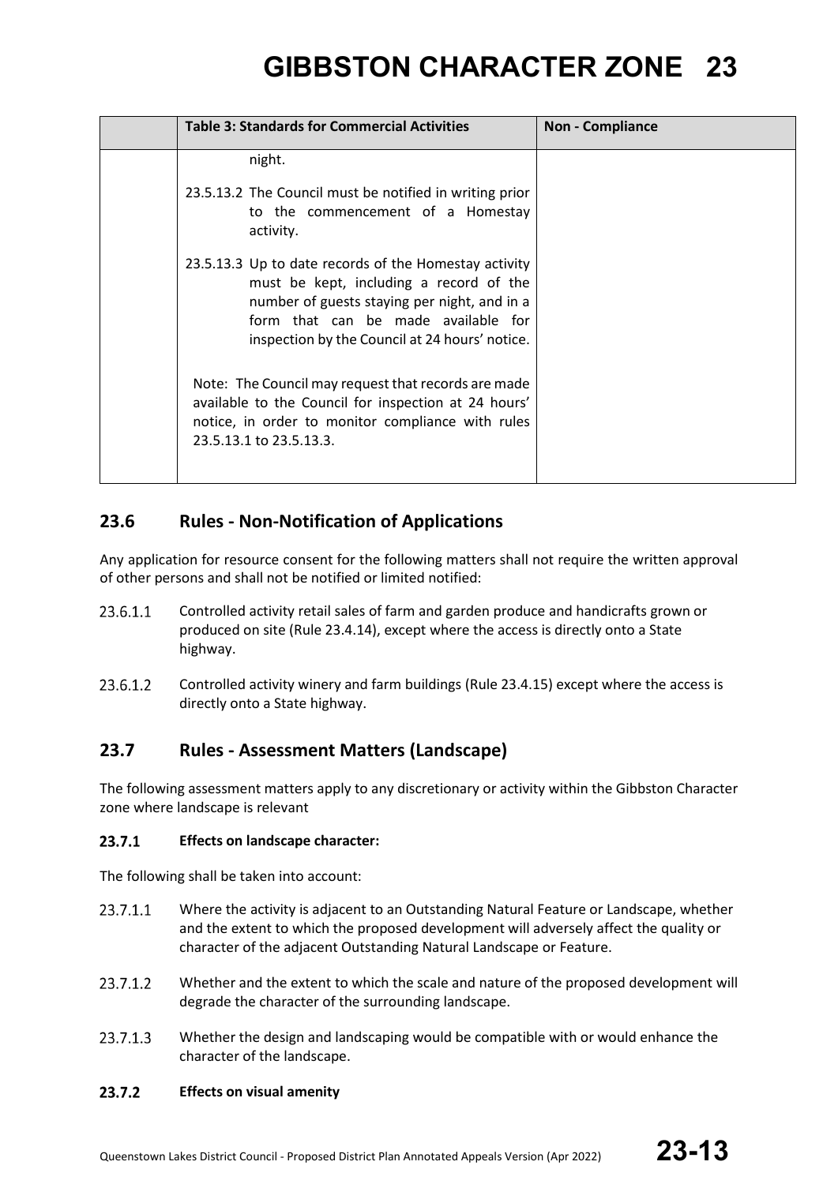| <b>Table 3: Standards for Commercial Activities</b>                                                                                                                                                                                       | <b>Non - Compliance</b> |
|-------------------------------------------------------------------------------------------------------------------------------------------------------------------------------------------------------------------------------------------|-------------------------|
| night.                                                                                                                                                                                                                                    |                         |
| 23.5.13.2 The Council must be notified in writing prior<br>to the commencement of a Homestay<br>activity.                                                                                                                                 |                         |
| 23.5.13.3 Up to date records of the Homestay activity<br>must be kept, including a record of the<br>number of guests staying per night, and in a<br>form that can be made available for<br>inspection by the Council at 24 hours' notice. |                         |
| Note: The Council may request that records are made<br>available to the Council for inspection at 24 hours'<br>notice, in order to monitor compliance with rules<br>23.5.13.1 to 23.5.13.3.                                               |                         |

### **23.6 Rules - Non-Notification of Applications**

Any application for resource consent for the following matters shall not require the written approval of other persons and shall not be notified or limited notified:

- 23.6.1.1 Controlled activity retail sales of farm and garden produce and handicrafts grown or produced on site (Rule 23.4.14), except where the access is directly onto a State highway.
- Controlled activity winery and farm buildings (Rule 23.4.15) except where the access is 23.6.1.2 directly onto a State highway.

### **23.7 Rules - Assessment Matters (Landscape)**

The following assessment matters apply to any discretionary or activity within the Gibbston Character zone where landscape is relevant

#### 23.7.1 **Effects on landscape character:**

The following shall be taken into account:

- Where the activity is adjacent to an Outstanding Natural Feature or Landscape, whether 23.7.1.1 and the extent to which the proposed development will adversely affect the quality or character of the adjacent Outstanding Natural Landscape or Feature.
- 23.7.1.2 Whether and the extent to which the scale and nature of the proposed development will degrade the character of the surrounding landscape.
- 23.7.1.3 Whether the design and landscaping would be compatible with or would enhance the character of the landscape.

#### 23.7.2 **Effects on visual amenity**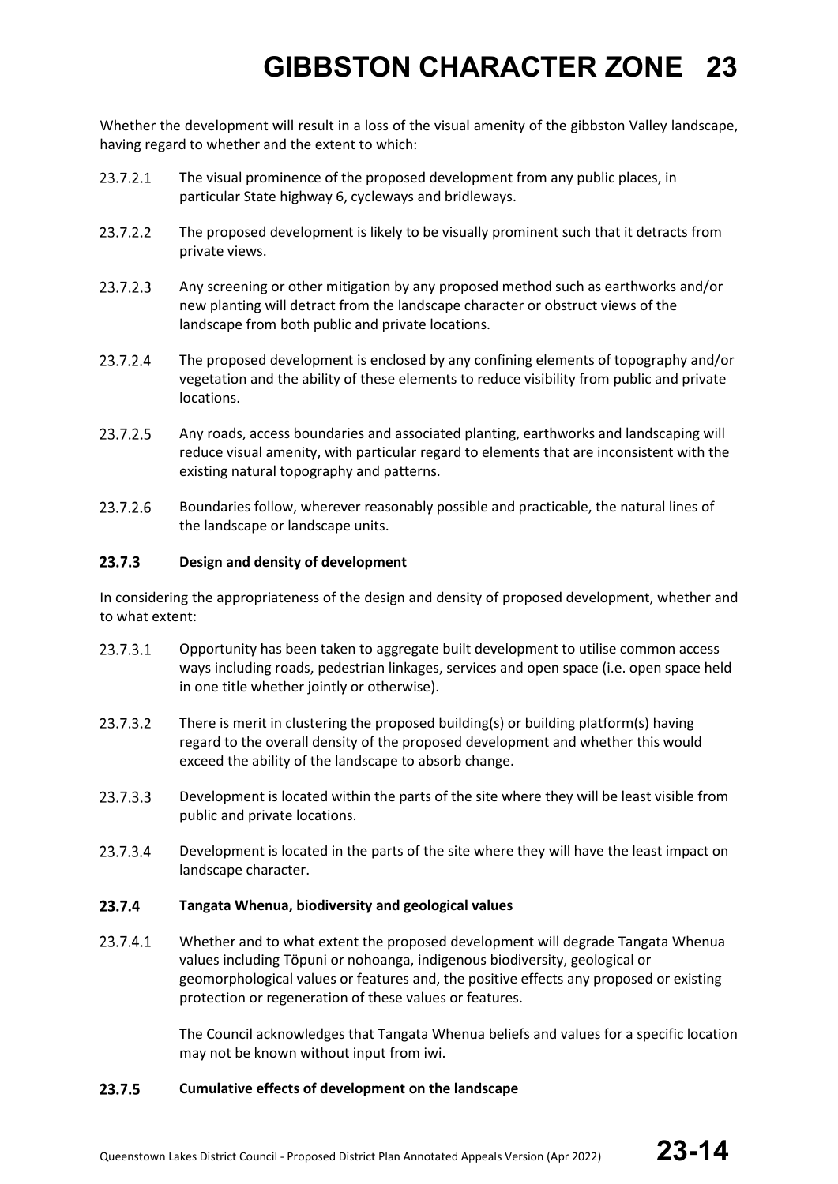Whether the development will result in a loss of the visual amenity of the gibbston Valley landscape, having regard to whether and the extent to which:

- 23.7.2.1 The visual prominence of the proposed development from any public places, in particular State highway 6, cycleways and bridleways.
- 23.7.2.2 The proposed development is likely to be visually prominent such that it detracts from private views.
- 23.7.2.3 Any screening or other mitigation by any proposed method such as earthworks and/or new planting will detract from the landscape character or obstruct views of the landscape from both public and private locations.
- 23.7.2.4 The proposed development is enclosed by any confining elements of topography and/or vegetation and the ability of these elements to reduce visibility from public and private locations.
- 23.7.2.5 Any roads, access boundaries and associated planting, earthworks and landscaping will reduce visual amenity, with particular regard to elements that are inconsistent with the existing natural topography and patterns.
- 23.7.2.6 Boundaries follow, wherever reasonably possible and practicable, the natural lines of the landscape or landscape units.

#### 23.7.3 **Design and density of development**

In considering the appropriateness of the design and density of proposed development, whether and to what extent:

- 23.7.3.1 Opportunity has been taken to aggregate built development to utilise common access ways including roads, pedestrian linkages, services and open space (i.e. open space held in one title whether jointly or otherwise).
- 23.7.3.2 There is merit in clustering the proposed building(s) or building platform(s) having regard to the overall density of the proposed development and whether this would exceed the ability of the landscape to absorb change.
- 23.7.3.3 Development is located within the parts of the site where they will be least visible from public and private locations.
- 23.7.3.4 Development is located in the parts of the site where they will have the least impact on landscape character.

#### 23.7.4 **Tangata Whenua, biodiversity and geological values**

23.7.4.1 Whether and to what extent the proposed development will degrade Tangata Whenua values including Töpuni or nohoanga, indigenous biodiversity, geological or geomorphological values or features and, the positive effects any proposed or existing protection or regeneration of these values or features.

> The Council acknowledges that Tangata Whenua beliefs and values for a specific location may not be known without input from iwi.

#### 23.7.5 **Cumulative effects of development on the landscape**